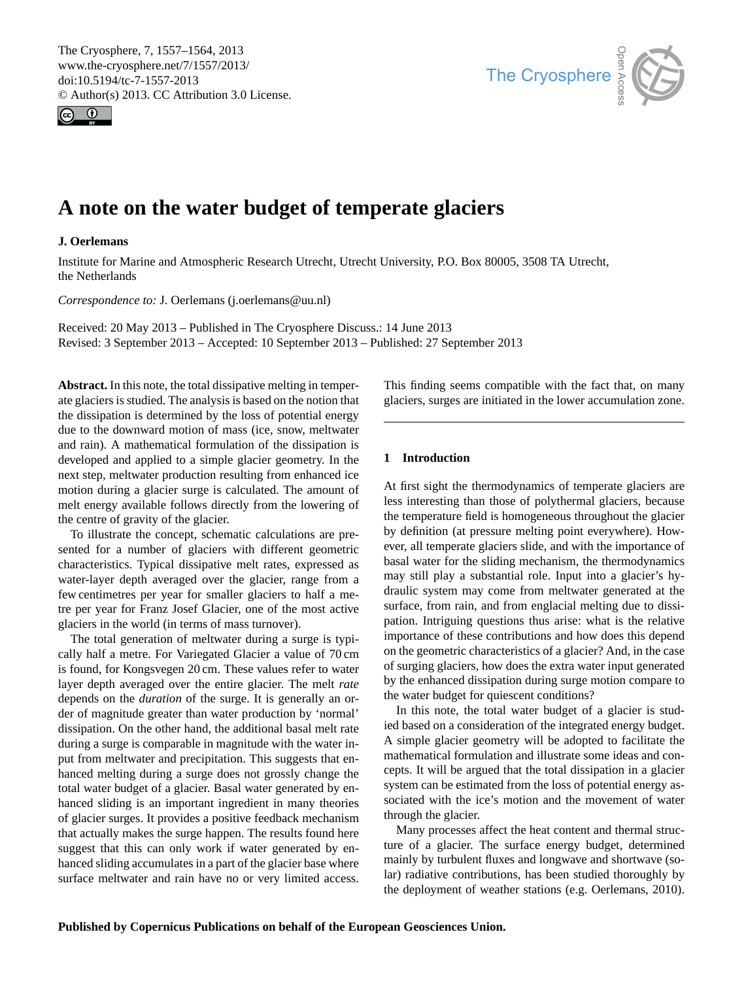<span id="page-0-0"></span>The Cryosphere, 7, 1557–1564, 2013 www.the-cryosphere.net/7/1557/2013/ doi:10.5194/tc-7-1557-2013 © Author(s) 2013. CC Attribution 3.0 License.





# **A note on the water budget of temperate glaciers**

# **J. Oerlemans**

Institute for Marine and Atmospheric Research Utrecht, Utrecht University, P.O. Box 80005, 3508 TA Utrecht, the Netherlands

*Correspondence to:* J. Oerlemans (j.oerlemans@uu.nl)

Received: 20 May 2013 – Published in The Cryosphere Discuss.: 14 June 2013 Revised: 3 September 2013 – Accepted: 10 September 2013 – Published: 27 September 2013

**Abstract.** In this note, the total dissipative melting in temperate glaciers is studied. The analysis is based on the notion that the dissipation is determined by the loss of potential energy due to the downward motion of mass (ice, snow, meltwater and rain). A mathematical formulation of the dissipation is developed and applied to a simple glacier geometry. In the next step, meltwater production resulting from enhanced ice motion during a glacier surge is calculated. The amount of melt energy available follows directly from the lowering of the centre of gravity of the glacier.

To illustrate the concept, schematic calculations are presented for a number of glaciers with different geometric characteristics. Typical dissipative melt rates, expressed as water-layer depth averaged over the glacier, range from a few centimetres per year for smaller glaciers to half a metre per year for Franz Josef Glacier, one of the most active glaciers in the world (in terms of mass turnover).

The total generation of meltwater during a surge is typically half a metre. For Variegated Glacier a value of 70 cm is found, for Kongsvegen 20 cm. These values refer to water layer depth averaged over the entire glacier. The melt *rate* depends on the *duration* of the surge. It is generally an order of magnitude greater than water production by 'normal' dissipation. On the other hand, the additional basal melt rate during a surge is comparable in magnitude with the water input from meltwater and precipitation. This suggests that enhanced melting during a surge does not grossly change the total water budget of a glacier. Basal water generated by enhanced sliding is an important ingredient in many theories of glacier surges. It provides a positive feedback mechanism that actually makes the surge happen. The results found here suggest that this can only work if water generated by enhanced sliding accumulates in a part of the glacier base where surface meltwater and rain have no or very limited access. This finding seems compatible with the fact that, on many glaciers, surges are initiated in the lower accumulation zone.

# **1 Introduction**

At first sight the thermodynamics of temperate glaciers are less interesting than those of polythermal glaciers, because the temperature field is homogeneous throughout the glacier by definition (at pressure melting point everywhere). However, all temperate glaciers slide, and with the importance of basal water for the sliding mechanism, the thermodynamics may still play a substantial role. Input into a glacier's hydraulic system may come from meltwater generated at the surface, from rain, and from englacial melting due to dissipation. Intriguing questions thus arise: what is the relative importance of these contributions and how does this depend on the geometric characteristics of a glacier? And, in the case of surging glaciers, how does the extra water input generated by the enhanced dissipation during surge motion compare to the water budget for quiescent conditions?

In this note, the total water budget of a glacier is studied based on a consideration of the integrated energy budget. A simple glacier geometry will be adopted to facilitate the mathematical formulation and illustrate some ideas and concepts. It will be argued that the total dissipation in a glacier system can be estimated from the loss of potential energy associated with the ice's motion and the movement of water through the glacier.

Many processes affect the heat content and thermal structure of a glacier. The surface energy budget, determined mainly by turbulent fluxes and longwave and shortwave (solar) radiative contributions, has been studied thoroughly by the deployment of weather stations (e.g. Oerlemans, 2010).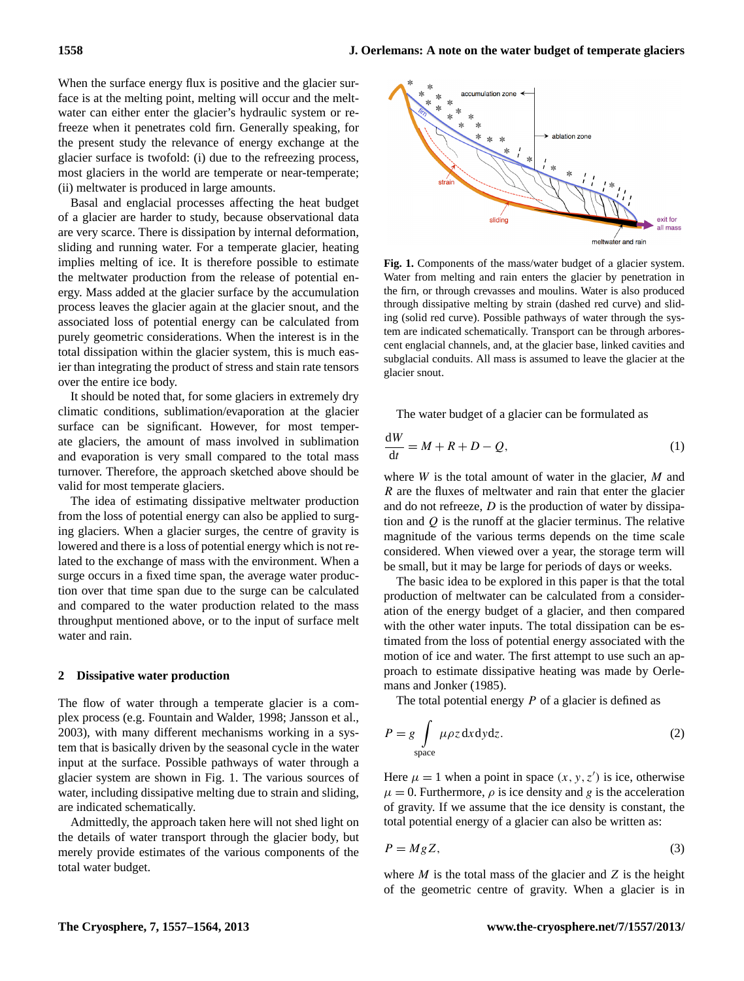When the surface energy flux is positive and the glacier surface is at the melting point, melting will occur and the meltwater can either enter the glacier's hydraulic system or refreeze when it penetrates cold firn. Generally speaking, for the present study the relevance of energy exchange at the glacier surface is twofold: (i) due to the refreezing process, most glaciers in the world are temperate or near-temperate; (ii) meltwater is produced in large amounts.

Basal and englacial processes affecting the heat budget of a glacier are harder to study, because observational data are very scarce. There is dissipation by internal deformation, sliding and running water. For a temperate glacier, heating implies melting of ice. It is therefore possible to estimate the meltwater production from the release of potential energy. Mass added at the glacier surface by the accumulation process leaves the glacier again at the glacier snout, and the associated loss of potential energy can be calculated from purely geometric considerations. When the interest is in the total dissipation within the glacier system, this is much easier than integrating the product of stress and stain rate tensors over the entire ice body.

It should be noted that, for some glaciers in extremely dry climatic conditions, sublimation/evaporation at the glacier surface can be significant. However, for most temperate glaciers, the amount of mass involved in sublimation and evaporation is very small compared to the total mass turnover. Therefore, the approach sketched above should be valid for most temperate glaciers.

The idea of estimating dissipative meltwater production from the loss of potential energy can also be applied to surging glaciers. When a glacier surges, the centre of gravity is lowered and there is a loss of potential energy which is not related to the exchange of mass with the environment. When a surge occurs in a fixed time span, the average water production over that time span due to the surge can be calculated and compared to the water production related to the mass throughput mentioned above, or to the input of surface melt water and rain.

#### **2 Dissipative water production**

The flow of water through a temperate glacier is a complex process (e.g. Fountain and Walder, 1998; Jansson et al., 2003), with many different mechanisms working in a system that is basically driven by the seasonal cycle in the water input at the surface. Possible pathways of water through a glacier system are shown in Fig. 1. The various sources of water, including dissipative melting due to strain and sliding, are indicated schematically.

Admittedly, the approach taken here will not shed light on the details of water transport through the glacier body, but merely provide estimates of the various components of the total water budget.



Water from melting and rain enters the glacier by penetration in the firn, or through crevasses and moulins. Water is also produced through dissipative melting by strain (dashed red curve) and sliding (solid red curve). Possible pathways of water through the system are indicated schematically. Transport can be through arborescent englacial channels, and, at the glacier base, linked cavities and **Fig. 1.** Components of the mass/water budget of a glacier system. subglacial conduits. All mass is assumed to leave the glacier at the glacier snout.

The water budget of a glacier can be formulated as

$$
\frac{dW}{dt} = M + R + D - Q,\tag{1}
$$

where *W* is the total amount of water in the glacier, *M* and R are the fluxes of meltwater and rain that enter the glacier and do not refreeze,  $D$  is the production of water by dissipation and  $Q$  is the runoff at the glacier terminus. The relative magnitude of the various terms depends on the time scale considered. When viewed over a year, the storage term will be small, but it may be large for periods of days or weeks.

The basic idea to be explored in this paper is that the total production of meltwater can be calculated from a consideration of the energy budget of a glacier, and then compared with the other water inputs. The total dissipation can be estimated from the loss of potential energy associated with the motion of ice and water. The first attempt to use such an approach to estimate dissipative heating was made by Oerlemans and Jonker (1985).

The total potential energy  $P$  of a glacier is defined as

$$
P = g \int_{\text{space}} \mu \rho z \, \text{d}x \, \text{d}y \, \text{d}z. \tag{2}
$$

Here  $\mu = 1$  when a point in space  $(x, y, z')$  is ice, otherwise  $\mu = 0$ . Furthermore,  $\rho$  is ice density and g is the acceleration of gravity. If we assume that the ice density is constant, the total potential energy of a glacier can also be written as:

$$
P = MgZ,\tag{3}
$$

where  $M$  is the total mass of the glacier and  $Z$  is the height of the geometric centre of gravity. When a glacier is in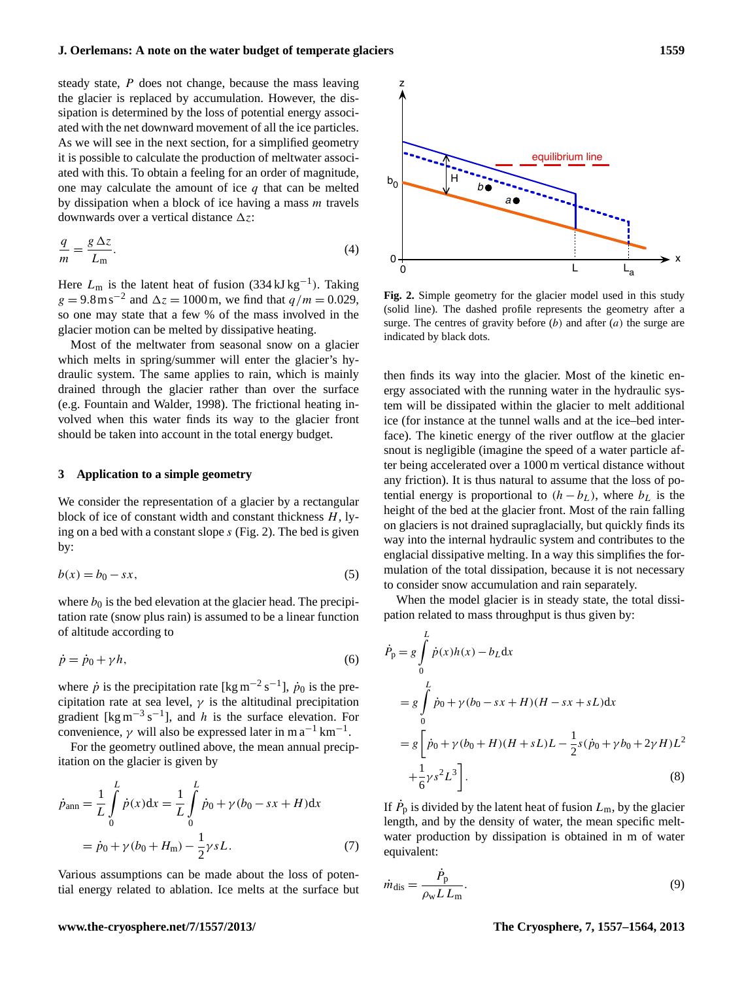steady state, P does not change, because the mass leaving the glacier is replaced by accumulation. However, the dissipation is determined by the loss of potential energy associated with the net downward movement of all the ice particles. As we will see in the next section, for a simplified geometry it is possible to calculate the production of meltwater associated with this. To obtain a feeling for an order of magnitude, one may calculate the amount of ice  $q$  that can be melted by dissipation when a block of ice having a mass  $m$  travels downwards over a vertical distance  $\Delta z$ :

$$
\frac{q}{m} = \frac{g \Delta z}{L_m}.\tag{4}
$$

Here  $L_m$  is the latent heat of fusion (334 kJ kg<sup>-1</sup>). Taking  $g = 9.8 \text{ m s}^{-2}$  and  $\Delta z = 1000 \text{ m}$ , we find that  $q/m = 0.029$ , so one may state that a few % of the mass involved in the glacier motion can be melted by dissipative heating.

Most of the meltwater from seasonal snow on a glacier which melts in spring/summer will enter the glacier's hydraulic system. The same applies to rain, which is mainly drained through the glacier rather than over the surface (e.g. Fountain and Walder, 1998). The frictional heating involved when this water finds its way to the glacier front should be taken into account in the total energy budget. 4 the surge are indicated by black dots.

## **3 Application to a simple geometry**

We consider the representation of a glacier by a rectangular block of ice of constant width and constant thickness  $H$ , lying on a bed with a constant slope s (Fig. 2). The bed is given by:

$$
b(x) = b_0 - sx,\t\t(5)
$$

where  $b_0$  is the bed elevation at the glacier head. The precipitation rate (snow plus rain) is assumed to be a linear function of altitude according to

$$
\dot{p} = \dot{p}_0 + \gamma h,\tag{6}
$$

where  $\dot{p}$  is the precipitation rate [kg m<sup>-2</sup> s<sup>-1</sup>],  $\dot{p}_0$  is the precipitation rate at sea level,  $\gamma$  is the altitudinal precipitation gradient [kg m<sup>-3</sup> s<sup>-1</sup>], and h is the surface elevation. For convenience,  $\gamma$  will also be expressed later in m a<sup>-1</sup> km<sup>-1</sup>.

For the geometry outlined above, the mean annual precipitation on the glacier is given by

$$
\dot{p}_{\text{ann}} = \frac{1}{L} \int_{0}^{L} \dot{p}(x) dx = \frac{1}{L} \int_{0}^{L} \dot{p}_{0} + \gamma (b_{0} - sx + H) dx
$$

$$
= \dot{p}_{0} + \gamma (b_{0} + H_{\text{m}}) - \frac{1}{2} \gamma s L. \tag{7}
$$

Various assumptions can be made about the loss of potential energy related to ablation. Ice melts at the surface but



surge. The centres of gravity before  $(b)$  and after  $(a)$  the surge are 3 profile represents the geometry after a surge. The centres of gravity before (*b*) and after (*a*) **Fig. 2.** Simple geometry for the glacier model used in this study (solid line). The dashed profile represents the geometry after a indicated by black dots.

then finds its way into the glacier. Most of the kinetic energy associated with the running water in the hydraulic system will be dissipated within the glacier to melt additional ice (for instance at the tunnel walls and at the ice–bed interface). The kinetic energy of the river outflow at the glacier snout is negligible (imagine the speed of a water particle after being accelerated over a 1000 m vertical distance without any friction). It is thus natural to assume that the loss of potential energy is proportional to  $(h - b<sub>L</sub>)$ , where  $b<sub>L</sub>$  is the height of the bed at the glacier front. Most of the rain falling on glaciers is not drained supraglacially, but quickly finds its way into the internal hydraulic system and contributes to the englacial dissipative melting. In a way this simplifies the formulation of the total dissipation, because it is not necessary to consider snow accumulation and rain separately.

When the model glacier is in steady state, the total dissipation related to mass throughput is thus given by:

$$
\dot{P}_{\rm p} = g \int_{0}^{L} \dot{p}(x)h(x) - b_{L} \, dx
$$
\n
$$
= g \int_{0}^{L} \dot{p}_0 + \gamma (b_0 - sx + H)(H - sx + sL) \, dx
$$
\n
$$
= g \left[ \dot{p}_0 + \gamma (b_0 + H)(H + sL)L - \frac{1}{2}s(\dot{p}_0 + \gamma b_0 + 2\gamma H)L^2 + \frac{1}{6}\gamma s^2 L^3 \right].
$$
\n(8)

If  $\dot{P}_{\rm p}$  is divided by the latent heat of fusion  $L_{\rm m}$ , by the glacier length, and by the density of water, the mean specific meltwater production by dissipation is obtained in m of water equivalent:

$$
\dot{m}_{\text{dis}} = \frac{\dot{P}_{\text{p}}}{\rho_{\text{w}} L L_{\text{m}}}.
$$
\n(9)

#### **www.the-cryosphere.net/7/1557/2013/ The Cryosphere, 7, 1557[–1564,](#page-0-0) 2013**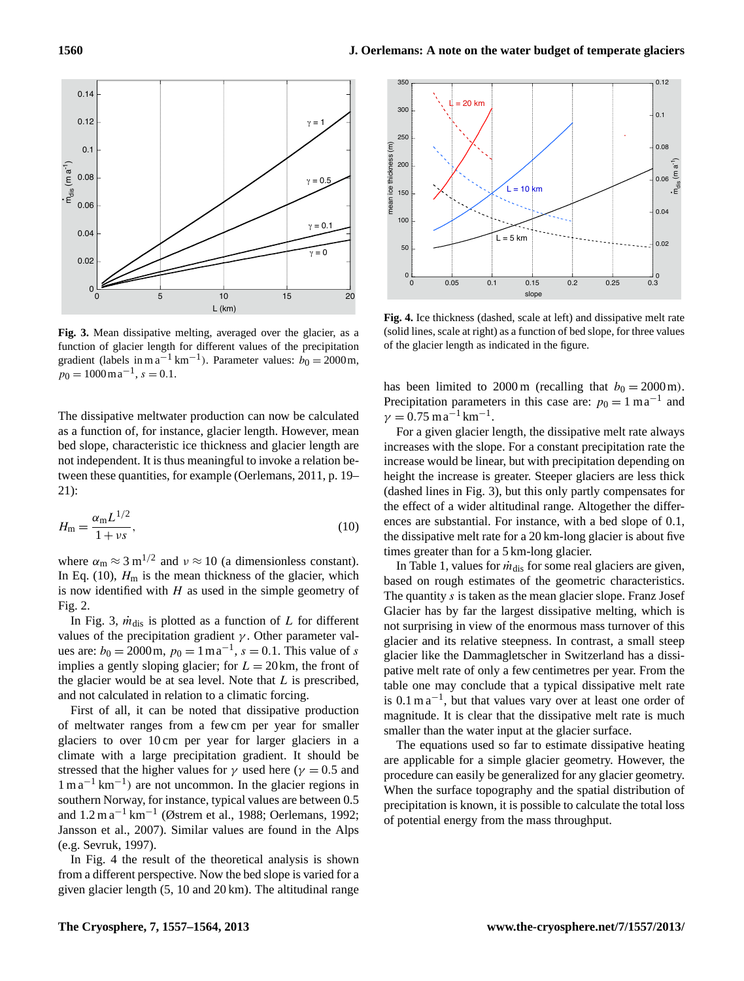

gradient (labels in m a<sup>-1</sup> km<sup>-1</sup>). Parameter values:  $b_0 = 2000$ m,  $p_0 = 1000 \,\mathrm{m} \,\mathrm{a}^{-1}, s = 0.1.$ **Fig. 3.** Mean dissipative melting, averaged over the glacier, as a function of glacier length for different values of the precipitation

€ € bed slope, characteristic ice thickness and glacier length are The dissipative meltwater production can now be calculated as a function of, for instance, glacier length. However, mean not independent. It is thus meaningful to invoke a relation between these quantities, for example (Oerlemans, 2011, p. 19– 21):

$$
H_{\rm m} = \frac{\alpha_{\rm m} L^{1/2}}{1 + \nu s},\tag{10}
$$

where  $\alpha_{\rm m} \approx 3 \,\rm m^{1/2}$  and  $\nu \approx 10$  (a dimensionless constant). In Eq. (10),  $H_m$  is the mean thickness of the glacier, which is now identified with  $H$  as used in the simple geometry of Fig. 2.

In Fig. 3,  $\dot{m}_{\text{dis}}$  is plotted as a function of L for different values of the precipitation gradient  $\gamma$ . Other parameter values are:  $b_0 = 2000 \text{ m}, p_0 = 1 \text{ m a}^{-1}, s = 0.1$ . This value of s implies a gently sloping glacier; for  $L = 20$  km, the front of the glacier would be at sea level. Note that  $L$  is prescribed, and not calculated in relation to a climatic forcing.

First of all, it can be noted that dissipative production of meltwater ranges from a few cm per year for smaller glaciers to over 10 cm per year for larger glaciers in a climate with a large precipitation gradient. It should be stressed that the higher values for  $\gamma$  used here ( $\gamma = 0.5$  and 1 m a−<sup>1</sup> km−<sup>1</sup> ) are not uncommon. In the glacier regions in southern Norway, for instance, typical values are between 0.5 and 1.2 m a−<sup>1</sup> km−<sup>1</sup> (Østrem et al., 1988; Oerlemans, 1992; Jansson et al., 2007). Similar values are found in the Alps (e.g. Sevruk, 1997).

In Fig. 4 the result of the theoretical analysis is shown from a different perspective. Now the bed slope is varied for a given glacier length (5, 10 and 20 km). The altitudinal range



(solid lines, scale at right) as a function of bed slope, for three values of the glacier length as indicated in the figure. **Fig. 4.** Ice thickness (dashed, scale at left) and dissipative melt rate

has been limited to  $2000 \text{ m}$  (recalling that  $b_0 = 2000 \text{ m}$ ). Precipitation parameters in this case are:  $p_0 = 1$  ma<sup>-1</sup> and  $\gamma = 0.75 \,\mathrm{m}\,\mathrm{a}^{-1}\,\mathrm{km}^{-1}$ .

For a given glacier length, the dissipative melt rate always increases with the slope. For a constant precipitation rate the increase would be linear, but with precipitation depending on height the increase is greater. Steeper glaciers are less thick (dashed lines in Fig. 3), but this only partly compensates for the effect of a wider altitudinal range. Altogether the differences are substantial. For instance, with a bed slope of 0.1, the dissipative melt rate for a 20 km-long glacier is about five times greater than for a 5 km-long glacier.

table one may conclude that a typical dissipative melt rate In Table 1, values for  $\dot{m}_{\text{dis}}$  for some real glaciers are given, based on rough estimates of the geometric characteristics. The quantity  $s$  is taken as the mean glacier slope. Franz Josef Glacier has by far the largest dissipative melting, which is not surprising in view of the enormous mass turnover of this glacier and its relative steepness. In contrast, a small steep glacier like the Dammagletscher in Switzerland has a dissipative melt rate of only a few centimetres per year. From the is 0.1 m a−<sup>1</sup> , but that values vary over at least one order of magnitude. It is clear that the dissipative melt rate is much smaller than the water input at the glacier surface.

The equations used so far to estimate dissipative heating are applicable for a simple glacier geometry. However, the procedure can easily be generalized for any glacier geometry. When the surface topography and the spatial distribution of precipitation is known, it is possible to calculate the total loss of potential energy from the mass throughput.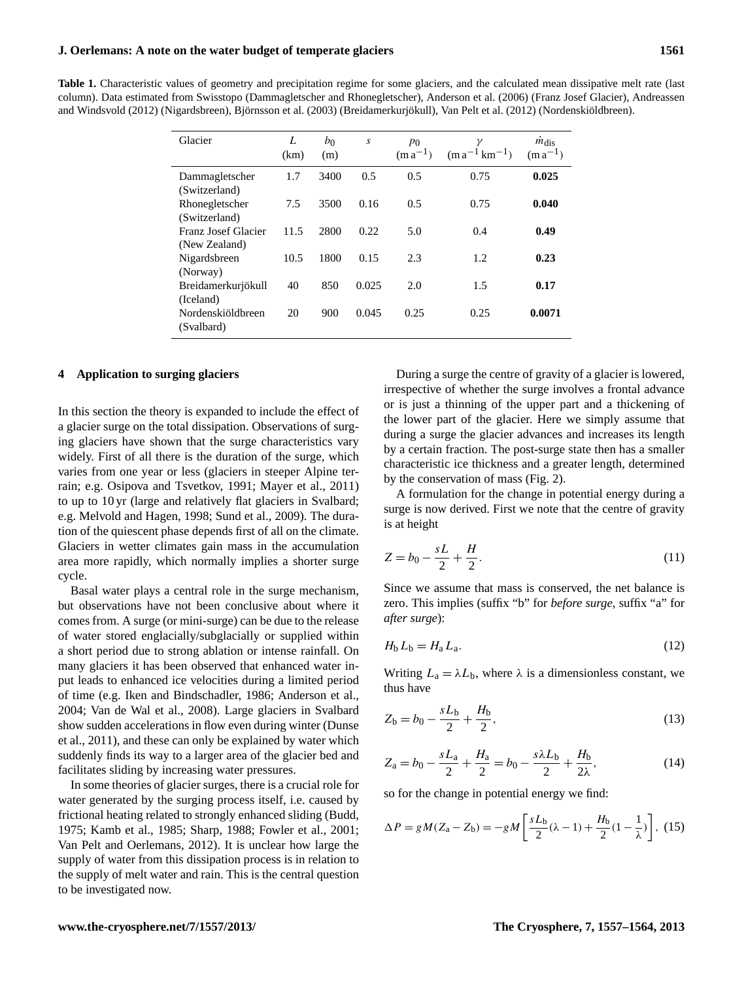**Table 1.** Characteristic values of geometry and precipitation regime for some glaciers, and the calculated mean dissipative melt rate (last column). Data estimated from Swisstopo (Dammagletscher and Rhonegletscher), Anderson et al. (2006) (Franz Josef Glacier), Andreassen and Windsvold (2012) (Nigardsbreen), Björnsson et al. (2003) (Breidamerkurjökull), Van Pelt et al. (2012) (Nordenskiöldbreen).

| Glacier                              | L<br>(km) | $b_0$<br>(m) | S     | $p_0$<br>$(m a^{-1})$ | $(m a^{-1} km^{-1})$ | $m_{\text{dis}}$<br>$(m a^{-1})$ |
|--------------------------------------|-----------|--------------|-------|-----------------------|----------------------|----------------------------------|
| Dammagletscher<br>(Switzerland)      | 1.7       | 3400         | 0.5   | 0.5                   | 0.75                 | 0.025                            |
| Rhonegletscher<br>(Switzerland)      | 7.5       | 3500         | 0.16  | 0.5                   | 0.75                 | 0.040                            |
| Franz Josef Glacier<br>(New Zealand) | 11.5      | 2800         | 0.22  | 5.0                   | 0.4                  | 0.49                             |
| Nigardsbreen<br>(Norway)             | 10.5      | 1800         | 0.15  | 2.3                   | 1.2                  | 0.23                             |
| Breidamerkurjökull<br>(Iceland)      | 40        | 850          | 0.025 | 2.0                   | 1.5                  | 0.17                             |
| Nordenskiöldbreen<br>(Svalbard)      | 20        | 900          | 0.045 | 0.25                  | 0.25                 | 0.0071                           |

## **4 Application to surging glaciers**

In this section the theory is expanded to include the effect of a glacier surge on the total dissipation. Observations of surging glaciers have shown that the surge characteristics vary widely. First of all there is the duration of the surge, which varies from one year or less (glaciers in steeper Alpine terrain; e.g. Osipova and Tsvetkov, 1991; Mayer et al., 2011) to up to 10 yr (large and relatively flat glaciers in Svalbard; e.g. Melvold and Hagen, 1998; Sund et al., 2009). The duration of the quiescent phase depends first of all on the climate. Glaciers in wetter climates gain mass in the accumulation area more rapidly, which normally implies a shorter surge cycle.

Basal water plays a central role in the surge mechanism, but observations have not been conclusive about where it comes from. A surge (or mini-surge) can be due to the release of water stored englacially/subglacially or supplied within a short period due to strong ablation or intense rainfall. On many glaciers it has been observed that enhanced water input leads to enhanced ice velocities during a limited period of time (e.g. Iken and Bindschadler, 1986; Anderson et al., 2004; Van de Wal et al., 2008). Large glaciers in Svalbard show sudden accelerations in flow even during winter (Dunse et al., 2011), and these can only be explained by water which suddenly finds its way to a larger area of the glacier bed and facilitates sliding by increasing water pressures.

In some theories of glacier surges, there is a crucial role for water generated by the surging process itself, i.e. caused by frictional heating related to strongly enhanced sliding (Budd, 1975; Kamb et al., 1985; Sharp, 1988; Fowler et al., 2001; Van Pelt and Oerlemans, 2012). It is unclear how large the supply of water from this dissipation process is in relation to the supply of melt water and rain. This is the central question to be investigated now.

During a surge the centre of gravity of a glacier is lowered, irrespective of whether the surge involves a frontal advance or is just a thinning of the upper part and a thickening of the lower part of the glacier. Here we simply assume that during a surge the glacier advances and increases its length by a certain fraction. The post-surge state then has a smaller characteristic ice thickness and a greater length, determined by the conservation of mass (Fig. 2).

A formulation for the change in potential energy during a surge is now derived. First we note that the centre of gravity is at height

$$
Z = b_0 - \frac{sL}{2} + \frac{H}{2}.
$$
 (11)

Since we assume that mass is conserved, the net balance is zero. This implies (suffix "b" for *before surge*, suffix "a" for *after surge*):

$$
H_{\rm b} L_{\rm b} = H_{\rm a} L_{\rm a}.\tag{12}
$$

Writing  $L_a = \lambda L_b$ , where  $\lambda$  is a dimensionless constant, we thus have

$$
Z_b = b_0 - \frac{sL_b}{2} + \frac{H_b}{2},\tag{13}
$$

$$
Z_{\rm a} = b_0 - \frac{sL_{\rm a}}{2} + \frac{H_{\rm a}}{2} = b_0 - \frac{s\lambda L_{\rm b}}{2} + \frac{H_{\rm b}}{2\lambda},\tag{14}
$$

so for the change in potential energy we find:

$$
\Delta P = gM(Z_{\rm a} - Z_{\rm b}) = -gM\left[\frac{sL_{\rm b}}{2}(\lambda - 1) + \frac{H_{\rm b}}{2}(1 - \frac{1}{\lambda})\right], (15)
$$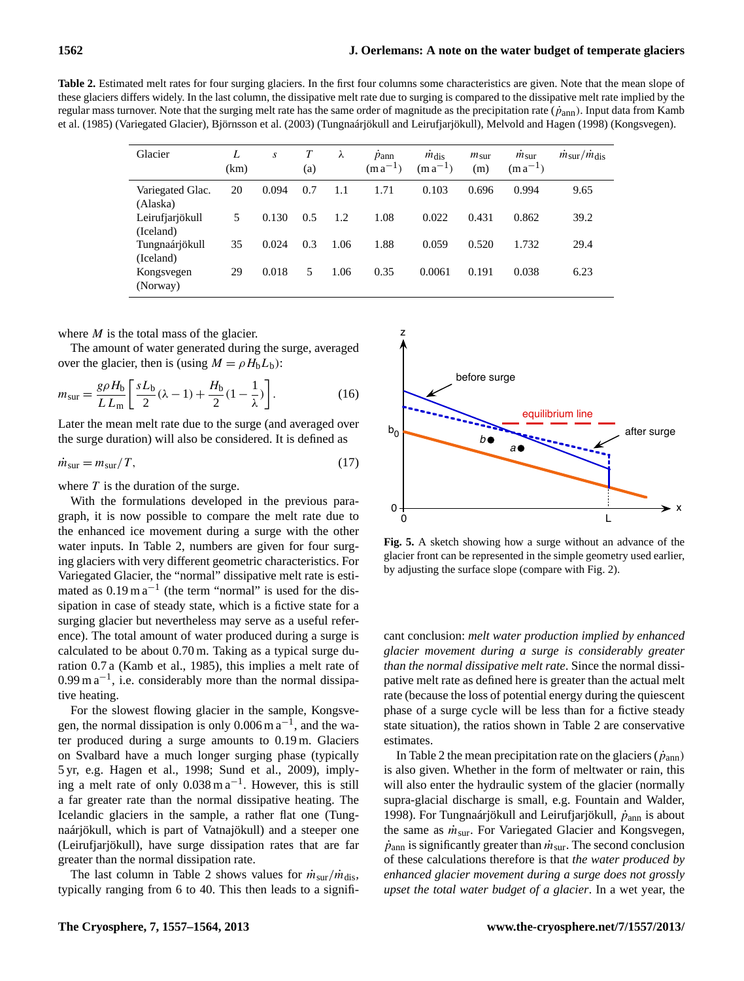**Table 2.** Estimated melt rates for four surging glaciers. In the first four columns some characteristics are given. Note that the mean slope of these glaciers differs widely. In the last column, the dissipative melt rate due to surging is compared to the dissipative melt rate implied by the regular mass turnover. Note that the surging melt rate has the same order of magnitude as the precipitation rate  $(\dot{p}_{ann})$ . Input data from Kamb et al. (1985) (Variegated Glacier), Björnsson et al. (2003) (Tungnaárjökull and Leirufjarjökull), Melvold and Hagen (1998) (Kongsvegen).

| Glacier                      | L<br>(km) | $\boldsymbol{S}$ | T<br>(a) | λ    | $\dot{p}_{\rm ann}$<br>$(m a^{-1})$ | $m_{\text{dis}}$<br>$(m a^{-1})$ | $m_{\text{sur}}$<br>(m) | $m_{\text{sur}}$<br>$(m a^{-1})$ | $\dot{m}_{\rm sur}/\dot{m}_{\rm dis}$ |
|------------------------------|-----------|------------------|----------|------|-------------------------------------|----------------------------------|-------------------------|----------------------------------|---------------------------------------|
| Variegated Glac.<br>(Alaska) | 20        | 0.094            | 0.7      | 1.1  | 1.71                                | 0.103                            | 0.696                   | 0.994                            | 9.65                                  |
| Leirufjarjökull<br>(Iceland) | 5         | 0.130            | 0.5      | 1.2  | 1.08                                | 0.022                            | 0.431                   | 0.862                            | 39.2                                  |
| Tungnaárjökull<br>(Iceland)  | 35        | 0.024            | 0.3      | 1.06 | 1.88                                | 0.059                            | 0.520                   | 1.732                            | 29.4                                  |
| Kongsvegen<br>(Norway)       | 29        | 0.018            | 5        | 1.06 | 0.35                                | 0.0061                           | 0.191                   | 0.038                            | 6.23                                  |

where  $M$  is the total mass of the glacier.

The amount of water generated during the surge, averaged over the glacier, then is (using  $M = \rho H_b L_b$ ):

$$
m_{\text{sur}} = \frac{g\rho H_{\text{b}}}{L L_{\text{m}}} \left[ \frac{sL_{\text{b}}}{2} (\lambda - 1) + \frac{H_{\text{b}}}{2} (1 - \frac{1}{\lambda}) \right].
$$
 (16)

Later the mean melt rate due to the surge (and averaged over the surge duration) will also be considered. It is defined as

$$
\dot{m}_{\text{sur}} = m_{\text{sur}} / T,\tag{17}
$$

where  $T$  is the duration of the surge.

With the formulations developed in the previous paragraph, it is now possible to compare the melt rate due to the enhanced ice movement during a surge with the other water inputs. In Table 2, numbers are given for four surging glaciers with very different geometric characteristics. For Variegated Glacier, the "normal" dissipative melt rate is estimated as  $0.19 \text{ m}\text{a}^{-1}$  (the term "normal" is used for the dissipation in case of steady state, which is a fictive state for a surging glacier but nevertheless may serve as a useful reference). The total amount of water produced during a surge is calculated to be about 0.70 m. Taking as a typical surge duration 0.7 a (Kamb et al., 1985), this implies a melt rate of 6 0.99 m a<sup>-1</sup>, i.e. considerably more than the normal dissipative heating. 3 represented in the simple geometry used earlier by adjusting the surface slope (compare with 4 Fig. 1).

For the slowest flowing glacier in the sample, Kongsvegen, the normal dissipation is only  $0.006$  m  $a^{-1}$ , and the water produced during a surge amounts to 0.19 m. Glaciers on Svalbard have a much longer surging phase (typically 5 yr, e.g. Hagen et al., 1998; Sund et al., 2009), implying a melt rate of only 0.038 m a−<sup>1</sup> . However, this is still a far greater rate than the normal dissipative heating. The Icelandic glaciers in the sample, a rather flat one (Tungnaárjökull, which is part of Vatnajökull) and a steeper one (Leirufjarjökull), have surge dissipation rates that are far greater than the normal dissipation rate.

The last column in Table 2 shows values for  $\dot{m}_{\text{sur}}/\dot{m}_{\text{dis}}$ , typically ranging from 6 to 40. This then leads to a signifi-



by adjusting the surface slope (compare with Fig. 2). **Fig. 5.** A sketch showing how a surge without an advance of the glacier front can be represented in the simple geometry used earlier,

cant conclusion: *melt water production implied by enhanced glacier movement during a surge is considerably greater than the normal dissipative melt rate*. Since the normal dissipative melt rate as defined here is greater than the actual melt rate (because the loss of potential energy during the quiescent phase of a surge cycle will be less than for a fictive steady state situation), the ratios shown in Table 2 are conservative estimates.

In Table 2 the mean precipitation rate on the glaciers  $(\dot{p}_{ann})$ is also given. Whether in the form of meltwater or rain, this will also enter the hydraulic system of the glacier (normally supra-glacial discharge is small, e.g. Fountain and Walder, 1998). For Tungnaárjökull and Leirufjarjökull,  $\dot{p}_{ann}$  is about the same as  $\dot{m}_{\text{sur}}$ . For Variegated Glacier and Kongsvegen,  $\dot{p}_{\text{ann}}$  is significantly greater than  $\dot{m}_{\text{sur}}$ . The second conclusion of these calculations therefore is that *the water produced by enhanced glacier movement during a surge does not grossly upset the total water budget of a glacier*. In a wet year, the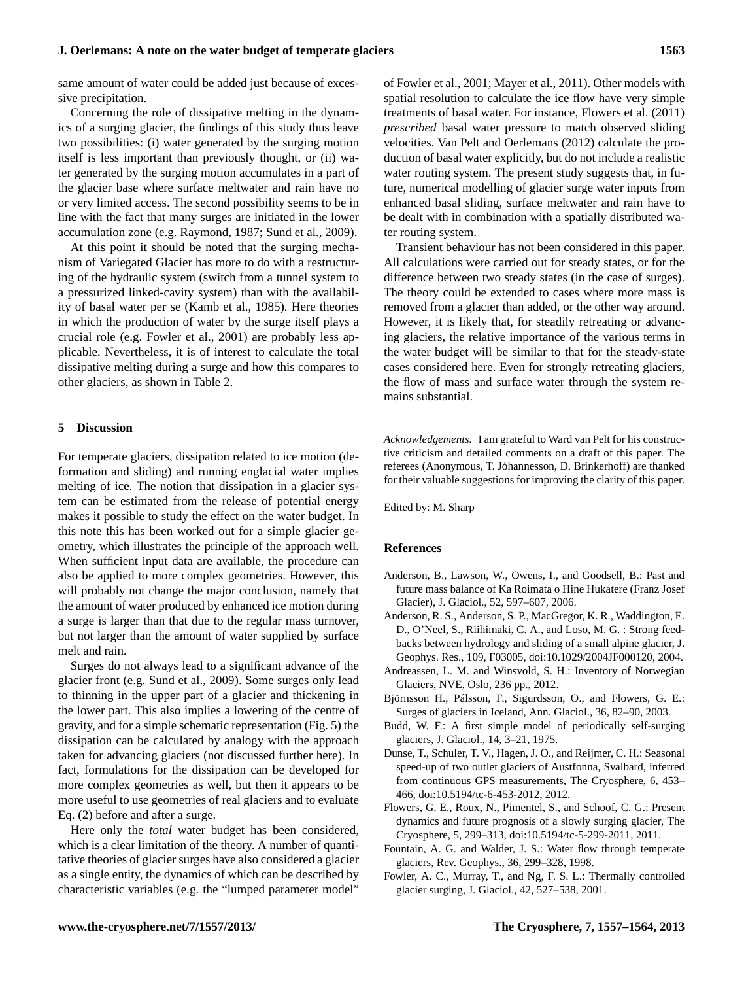same amount of water could be added just because of excessive precipitation.

Concerning the role of dissipative melting in the dynamics of a surging glacier, the findings of this study thus leave two possibilities: (i) water generated by the surging motion itself is less important than previously thought, or (ii) water generated by the surging motion accumulates in a part of the glacier base where surface meltwater and rain have no or very limited access. The second possibility seems to be in line with the fact that many surges are initiated in the lower accumulation zone (e.g. Raymond, 1987; Sund et al., 2009).

At this point it should be noted that the surging mechanism of Variegated Glacier has more to do with a restructuring of the hydraulic system (switch from a tunnel system to a pressurized linked-cavity system) than with the availability of basal water per se (Kamb et al., 1985). Here theories in which the production of water by the surge itself plays a crucial role (e.g. Fowler et al., 2001) are probably less applicable. Nevertheless, it is of interest to calculate the total dissipative melting during a surge and how this compares to other glaciers, as shown in Table 2.

## **5 Discussion**

For temperate glaciers, dissipation related to ice motion (deformation and sliding) and running englacial water implies melting of ice. The notion that dissipation in a glacier system can be estimated from the release of potential energy makes it possible to study the effect on the water budget. In this note this has been worked out for a simple glacier geometry, which illustrates the principle of the approach well. When sufficient input data are available, the procedure can also be applied to more complex geometries. However, this will probably not change the major conclusion, namely that the amount of water produced by enhanced ice motion during a surge is larger than that due to the regular mass turnover, but not larger than the amount of water supplied by surface melt and rain.

Surges do not always lead to a significant advance of the glacier front (e.g. Sund et al., 2009). Some surges only lead to thinning in the upper part of a glacier and thickening in the lower part. This also implies a lowering of the centre of gravity, and for a simple schematic representation (Fig. 5) the dissipation can be calculated by analogy with the approach taken for advancing glaciers (not discussed further here). In fact, formulations for the dissipation can be developed for more complex geometries as well, but then it appears to be more useful to use geometries of real glaciers and to evaluate Eq. (2) before and after a surge.

Here only the *total* water budget has been considered, which is a clear limitation of the theory. A number of quantitative theories of glacier surges have also considered a glacier as a single entity, the dynamics of which can be described by characteristic variables (e.g. the "lumped parameter model" of Fowler et al., 2001; Mayer et al., 2011). Other models with spatial resolution to calculate the ice flow have very simple treatments of basal water. For instance, Flowers et al. (2011) *prescribed* basal water pressure to match observed sliding velocities. Van Pelt and Oerlemans (2012) calculate the production of basal water explicitly, but do not include a realistic water routing system. The present study suggests that, in future, numerical modelling of glacier surge water inputs from enhanced basal sliding, surface meltwater and rain have to be dealt with in combination with a spatially distributed water routing system.

Transient behaviour has not been considered in this paper. All calculations were carried out for steady states, or for the difference between two steady states (in the case of surges). The theory could be extended to cases where more mass is removed from a glacier than added, or the other way around. However, it is likely that, for steadily retreating or advancing glaciers, the relative importance of the various terms in the water budget will be similar to that for the steady-state cases considered here. Even for strongly retreating glaciers, the flow of mass and surface water through the system remains substantial.

*Acknowledgements.* I am grateful to Ward van Pelt for his constructive criticism and detailed comments on a draft of this paper. The referees (Anonymous, T. Jóhannesson, D. Brinkerhoff) are thanked for their valuable suggestions for improving the clarity of this paper.

Edited by: M. Sharp

### **References**

- Anderson, B., Lawson, W., Owens, I., and Goodsell, B.: Past and future mass balance of Ka Roimata o Hine Hukatere (Franz Josef Glacier), J. Glaciol., 52, 597–607, 2006.
- Anderson, R. S., Anderson, S. P., MacGregor, K. R., Waddington, E. D., O'Neel, S., Riihimaki, C. A., and Loso, M. G. : Strong feedbacks between hydrology and sliding of a small alpine glacier, J. Geophys. Res., 109, F03005, doi[:10.1029/2004JF000120,](http://dx.doi.org/10.1029/2004JF000120) 2004.
- Andreassen, L. M. and Winsvold, S. H.: Inventory of Norwegian Glaciers, NVE, Oslo, 236 pp., 2012.
- Björnsson H., Pálsson, F., Sigurdsson, O., and Flowers, G. E.: Surges of glaciers in Iceland, Ann. Glaciol., 36, 82–90, 2003.
- Budd, W. F.: A first simple model of periodically self-surging glaciers, J. Glaciol., 14, 3–21, 1975.
- Dunse, T., Schuler, T. V., Hagen, J. O., and Reijmer, C. H.: Seasonal speed-up of two outlet glaciers of Austfonna, Svalbard, inferred from continuous GPS measurements, The Cryosphere, 6, 453– 466, doi[:10.5194/tc-6-453-2012,](http://dx.doi.org/10.5194/tc-6-453-2012) 2012.
- Flowers, G. E., Roux, N., Pimentel, S., and Schoof, C. G.: Present dynamics and future prognosis of a slowly surging glacier, The Cryosphere, 5, 299–313, doi[:10.5194/tc-5-299-2011,](http://dx.doi.org/10.5194/tc-5-299-2011) 2011.
- Fountain, A. G. and Walder, J. S.: Water flow through temperate glaciers, Rev. Geophys., 36, 299–328, 1998.
- Fowler, A. C., Murray, T., and Ng, F. S. L.: Thermally controlled glacier surging, J. Glaciol., 42, 527–538, 2001.